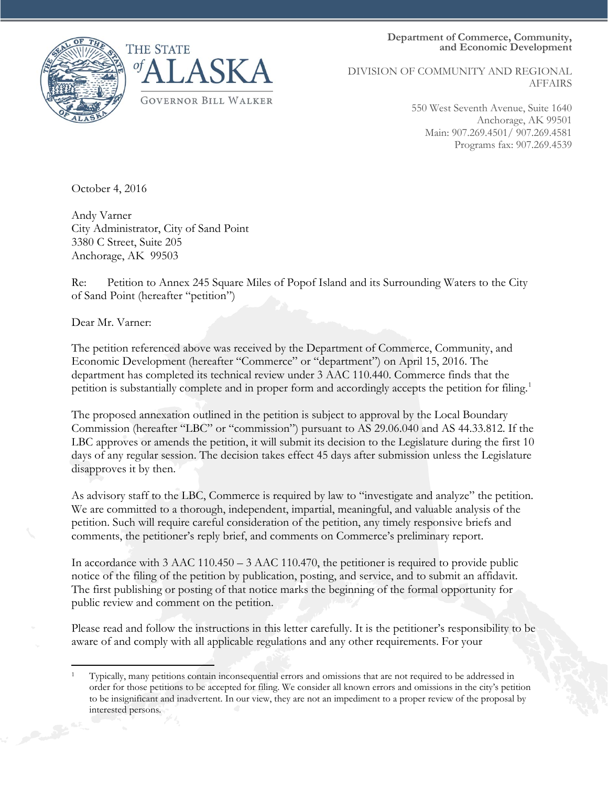**Department of Commerce, Community, and Economic Development**





DIVISION OF COMMUNITY AND REGIONAL AFFAIRS

> 550 West Seventh Avenue, Suite 1640 Anchorage, AK 99501 Main: 907.269.4501/ 907.269.4581 Programs fax: 907.269.4539

October 4, 2016

Andy Varner City Administrator, City of Sand Point 3380 C Street, Suite 205 Anchorage, AK 99503

Re: Petition to Annex 245 Square Miles of Popof Island and its Surrounding Waters to the City of Sand Point (hereafter "petition")

Dear Mr. Varner:

The petition referenced above was received by the Department of Commerce, Community, and Economic Development (hereafter "Commerce" or "department") on April 15, 2016. The department has completed its technical review under 3 AAC 110.440. Commerce finds that the petition is substantially complete and in proper form and accordingly accepts the petition for filing.<sup>[1](#page-0-0)</sup>

The proposed annexation outlined in the petition is subject to approval by the Local Boundary Commission (hereafter "LBC" or "commission") pursuant to AS 29.06.040 and AS 44.33.812. If the LBC approves or amends the petition, it will submit its decision to the Legislature during the first 10 days of any regular session. The decision takes effect 45 days after submission unless the Legislature disapproves it by then.

As advisory staff to the LBC, Commerce is required by law to "investigate and analyze" the petition. We are committed to a thorough, independent, impartial, meaningful, and valuable analysis of the petition. Such will require careful consideration of the petition, any timely responsive briefs and comments, the petitioner's reply brief, and comments on Commerce's preliminary report.

In accordance with 3 AAC 110.450 – 3 AAC 110.470, the petitioner is required to provide public notice of the filing of the petition by publication, posting, and service, and to submit an affidavit. The first publishing or posting of that notice marks the beginning of the formal opportunity for public review and comment on the petition.

Please read and follow the instructions in this letter carefully. It is the petitioner's responsibility to be aware of and comply with all applicable regulations and any other requirements. For your

<span id="page-0-0"></span> $\overline{\phantom{a}}$ <sup>1</sup> Typically, many petitions contain inconsequential errors and omissions that are not required to be addressed in order for those petitions to be accepted for filing. We consider all known errors and omissions in the city's petition to be insignificant and inadvertent. In our view, they are not an impediment to a proper review of the proposal by interested persons.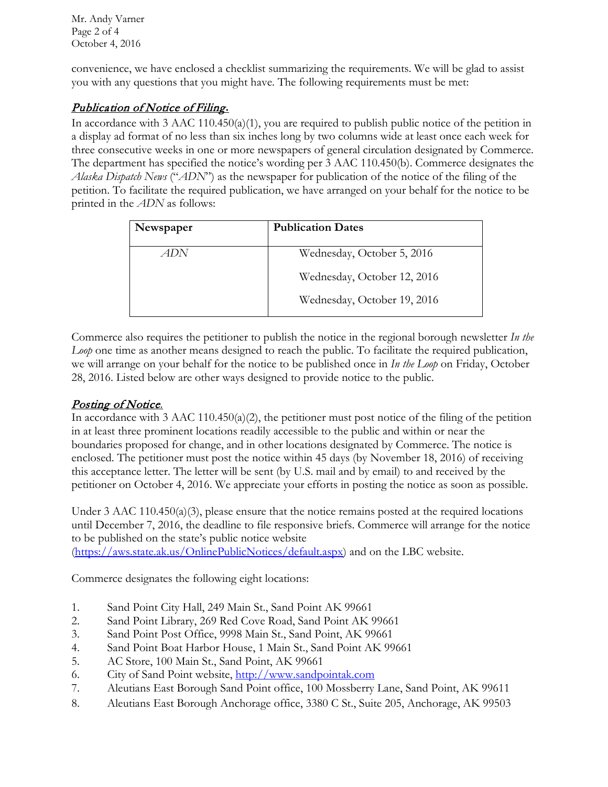Mr. Andy Varner Page 2 of 4 October 4, 2016

convenience, we have enclosed a checklist summarizing the requirements. We will be glad to assist you with any questions that you might have. The following requirements must be met:

## Publication of Notice of Filing**.**

In accordance with 3 AAC 110.450(a)(1), you are required to publish public notice of the petition in a display ad format of no less than six inches long by two columns wide at least once each week for three consecutive weeks in one or more newspapers of general circulation designated by Commerce. The department has specified the notice's wording per 3 AAC 110.450(b). Commerce designates the *Alaska Dispatch News* ("*ADN*") as the newspaper for publication of the notice of the filing of the petition. To facilitate the required publication, we have arranged on your behalf for the notice to be printed in the *ADN* as follows:

| Newspaper | <b>Publication Dates</b>    |
|-----------|-----------------------------|
| ADN       | Wednesday, October 5, 2016  |
|           | Wednesday, October 12, 2016 |
|           | Wednesday, October 19, 2016 |

Commerce also requires the petitioner to publish the notice in the regional borough newsletter *In the Loop* one time as another means designed to reach the public. To facilitate the required publication, we will arrange on your behalf for the notice to be published once in *In the Loop* on Friday, October 28, 2016. Listed below are other ways designed to provide notice to the public.

### Posting of Notice.

In accordance with 3 AAC 110.450(a)(2), the petitioner must post notice of the filing of the petition in at least three prominent locations readily accessible to the public and within or near the boundaries proposed for change, and in other locations designated by Commerce. The notice is enclosed. The petitioner must post the notice within 45 days (by November 18, 2016) of receiving this acceptance letter. The letter will be sent (by U.S. mail and by email) to and received by the petitioner on October 4, 2016. We appreciate your efforts in posting the notice as soon as possible.

Under 3 AAC 110.450(a)(3), please ensure that the notice remains posted at the required locations until December 7, 2016, the deadline to file responsive briefs. Commerce will arrange for the notice to be published on the state's public notice website

[\(https://aws.state.ak.us/OnlinePublicNotices/default.aspx\)](https://aws.state.ak.us/OnlinePublicNotices/default.aspx) and on the LBC website.

Commerce designates the following eight locations:

- 1. Sand Point City Hall, 249 Main St., Sand Point AK 99661
- 2. Sand Point Library, 269 Red Cove Road, Sand Point AK 99661
- 3. Sand Point Post Office, 9998 Main St., Sand Point, AK 99661
- 4. Sand Point Boat Harbor House, 1 Main St., Sand Point AK 99661
- 5. AC Store, 100 Main St., Sand Point, AK 99661
- 6. City of Sand Point website, [http://www.sandpointak.com](http://www.sandpointak.com/)
- 7. Aleutians East Borough Sand Point office, 100 Mossberry Lane, Sand Point, AK 99611
- 8. Aleutians East Borough Anchorage office, 3380 C St., Suite 205, Anchorage, AK 99503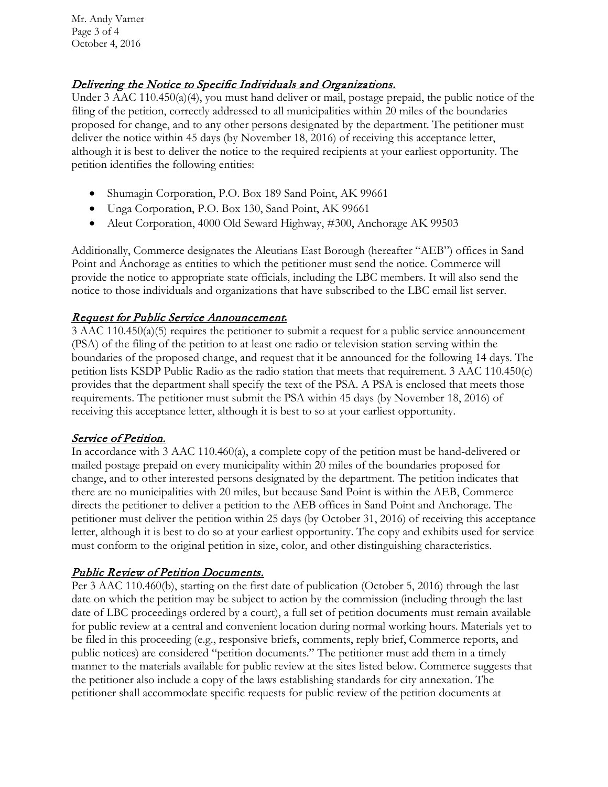Mr. Andy Varner Page 3 of 4 October 4, 2016

### Delivering the Notice to Specific Individuals and Organizations.

Under 3 AAC 110.450(a)(4), you must hand deliver or mail, postage prepaid, the public notice of the filing of the petition, correctly addressed to all municipalities within 20 miles of the boundaries proposed for change, and to any other persons designated by the department. The petitioner must deliver the notice within 45 days (by November 18, 2016) of receiving this acceptance letter, although it is best to deliver the notice to the required recipients at your earliest opportunity. The petition identifies the following entities:

- Shumagin Corporation, P.O. Box 189 Sand Point, AK 99661
- Unga Corporation, P.O. Box 130, Sand Point, AK 99661
- Aleut Corporation, 4000 Old Seward Highway, #300, Anchorage AK 99503

Additionally, Commerce designates the Aleutians East Borough (hereafter "AEB") offices in Sand Point and Anchorage as entities to which the petitioner must send the notice. Commerce will provide the notice to appropriate state officials, including the LBC members. It will also send the notice to those individuals and organizations that have subscribed to the LBC email list server.

#### Request for Public Service Announcement**.**

3 AAC 110.450(a)(5) requires the petitioner to submit a request for a public service announcement (PSA) of the filing of the petition to at least one radio or television station serving within the boundaries of the proposed change, and request that it be announced for the following 14 days. The petition lists KSDP Public Radio as the radio station that meets that requirement. 3 AAC 110.450(c) provides that the department shall specify the text of the PSA. A PSA is enclosed that meets those requirements. The petitioner must submit the PSA within 45 days (by November 18, 2016) of receiving this acceptance letter, although it is best to so at your earliest opportunity.

#### Service of Petition.

In accordance with 3 AAC 110.460(a), a complete copy of the petition must be hand-delivered or mailed postage prepaid on every municipality within 20 miles of the boundaries proposed for change, and to other interested persons designated by the department. The petition indicates that there are no municipalities with 20 miles, but because Sand Point is within the AEB, Commerce directs the petitioner to deliver a petition to the AEB offices in Sand Point and Anchorage. The petitioner must deliver the petition within 25 days (by October 31, 2016) of receiving this acceptance letter, although it is best to do so at your earliest opportunity. The copy and exhibits used for service must conform to the original petition in size, color, and other distinguishing characteristics.

### Public Review of Petition Documents.

Per 3 AAC 110.460(b), starting on the first date of publication (October 5, 2016) through the last date on which the petition may be subject to action by the commission (including through the last date of LBC proceedings ordered by a court), a full set of petition documents must remain available for public review at a central and convenient location during normal working hours. Materials yet to be filed in this proceeding (e.g., responsive briefs, comments, reply brief, Commerce reports, and public notices) are considered "petition documents." The petitioner must add them in a timely manner to the materials available for public review at the sites listed below. Commerce suggests that the petitioner also include a copy of the laws establishing standards for city annexation. The petitioner shall accommodate specific requests for public review of the petition documents at